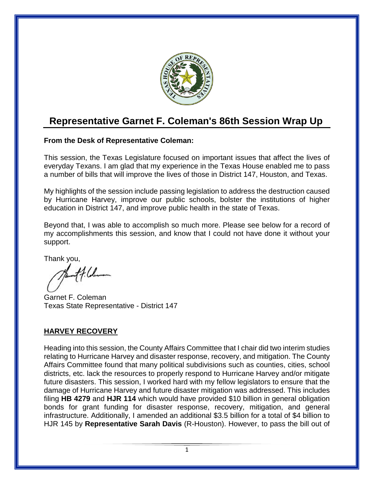

# **Representative Garnet F. Coleman's 86th Session Wrap Up**

# **From the Desk of Representative Coleman:**

This session, the Texas Legislature focused on important issues that affect the lives of everyday Texans. I am glad that my experience in the Texas House enabled me to pass a number of bills that will improve the lives of those in District 147, Houston, and Texas.

My highlights of the session include passing legislation to address the destruction caused by Hurricane Harvey, improve our public schools, bolster the institutions of higher education in District 147, and improve public health in the state of Texas.

Beyond that, I was able to accomplish so much more. Please see below for a record of my accomplishments this session, and know that I could not have done it without your support.

Thank you,

 $#$ 

Garnet F. Coleman Texas State Representative - District 147

# **HARVEY RECOVERY**

Heading into this session, the County Affairs Committee that I chair did two interim studies relating to Hurricane Harvey and disaster response, recovery, and mitigation. The County Affairs Committee found that many political subdivisions such as counties, cities, school districts, etc. lack the resources to properly respond to Hurricane Harvey and/or mitigate future disasters. This session, I worked hard with my fellow legislators to ensure that the damage of Hurricane Harvey and future disaster mitigation was addressed. This includes filing **HB 4279** and **HJR 114** which would have provided \$10 billion in general obligation bonds for grant funding for disaster response, recovery, mitigation, and general infrastructure. Additionally, I amended an additional \$3.5 billion for a total of \$4 billion to HJR 145 by **Representative Sarah Davis** (R-Houston). However, to pass the bill out of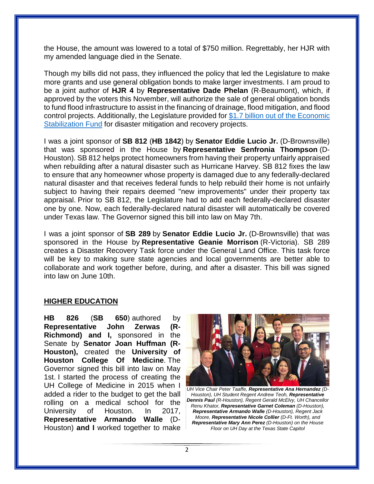the House, the amount was lowered to a total of \$750 million. Regrettably, her HJR with my amended language died in the Senate.

Though my bills did not pass, they influenced the policy that led the Legislature to make more grants and use general obligation bonds to make larger investments. I am proud to be a joint author of **HJR 4** by **Representative Dade Phelan** (R-Beaumont), which, if approved by the voters this November, will authorize the sale of general obligation bonds to fund flood infrastructure to assist in the financing of drainage, flood mitigation, and flood control projects. Additionally, the Legislature provided for [\\$1.7 billion out of the Economic](https://www.texastribune.org/2019/05/26/lawmakers-approve-bill-to-help-fund-floor-control-projects-in-texas/)  [Stabilization Fund](https://www.texastribune.org/2019/05/26/lawmakers-approve-bill-to-help-fund-floor-control-projects-in-texas/) for disaster mitigation and recovery projects.

I was a joint sponsor of **SB 812** (**HB 1842**) by **Senator Eddie Lucio Jr.** (D-Brownsville) that was sponsored in the House by **Representative Senfronia Thompson** (D-Houston). SB 812 helps protect homeowners from having their property unfairly appraised when rebuilding after a natural disaster such as Hurricane Harvey. SB 812 fixes the law to ensure that any homeowner whose property is damaged due to any federally-declared natural disaster and that receives federal funds to help rebuild their home is not unfairly subject to having their repairs deemed "new improvements" under their property tax appraisal. Prior to SB 812, the Legislature had to add each federally-declared disaster one by one. Now, each federally-declared natural disaster will automatically be covered under Texas law. The Governor signed this bill into law on May 7th.

I was a joint sponsor of **SB 289** by **Senator Eddie Lucio Jr.** (D-Brownsville) that was sponsored in the House by **Representative Geanie Morrison** (R-Victoria). SB 289 creates a Disaster Recovery Task force under the General Land Office. This task force will be key to making sure state agencies and local governments are better able to collaborate and work together before, during, and after a disaster. This bill was signed into law on June 10th.

#### **HIGHER EDUCATION**

**HB 826** (**SB 650**) authored by **Representative John Zerwas (R-Richmond) and I,** sponsored in the Senate by **Senator Joan Huffman (R-Houston),** created the **University of Houston College Of Medicine**. The Governor signed this bill into law on May 1st. I started the process of creating the UH College of Medicine in 2015 when I added a rider to the budget to get the ball rolling on a medical school for the University of Houston. In 2017, **Representative Armando Walle** (D-Houston) **and I** worked together to make



*UH Vice Chair Peter Taaffe, Representative Ana Hernandez (D-Houston), UH Student Regent Andrew Teoh, Representative Dennis Paul (R-Houston), Regent Gerald McElvy, UH Chancellor Renu Khator, Representative Garnet Coleman (D-Houston), Representative Armando Walle (D-Houston), Regent Jack Moore, Representative Nicole Collier (D-Ft. Worth), and Representative Mary Ann Perez (D-Houston) on the House Floor on UH Day at the Texas State Capitol*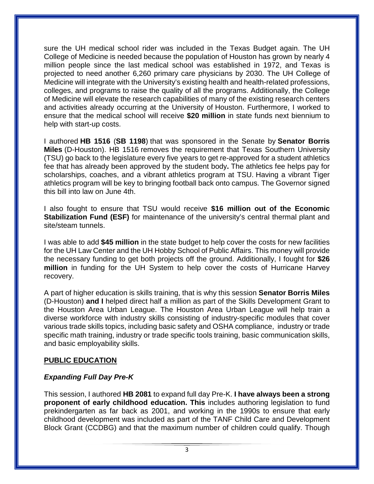sure the UH medical school rider was included in the Texas Budget again. The UH College of Medicine is needed because the population of Houston has grown by nearly 4 million people since the last medical school was established in 1972, and Texas is projected to need another 6,260 primary care physicians by 2030. The UH College of Medicine will integrate with the University's existing health and health-related professions, colleges, and programs to raise the quality of all the programs. Additionally, the College of Medicine will elevate the research capabilities of many of the existing research centers and activities already occurring at the University of Houston. Furthermore, I worked to ensure that the medical school will receive **\$20 million** in state funds next biennium to help with start-up costs.

I authored **HB 1516** (**SB 1198**) that was sponsored in the Senate by **Senator Borris Miles** (D-Houston). HB 1516 removes the requirement that Texas Southern University (TSU) go back to the legislature every five years to get re-approved for a student athletics fee that has already been approved by the student body**.** The athletics fee helps pay for scholarships, coaches, and a vibrant athletics program at TSU. Having a vibrant Tiger athletics program will be key to bringing football back onto campus. The Governor signed this bill into law on June 4th.

I also fought to ensure that TSU would receive **\$16 million out of the Economic Stabilization Fund (ESF)** for maintenance of the university's central thermal plant and site/steam tunnels.

I was able to add **\$45 million** in the state budget to help cover the costs for new facilities for the UH Law Center and the UH Hobby School of Public Affairs. This money will provide the necessary funding to get both projects off the ground. Additionally, I fought for **\$26 million** in funding for the UH System to help cover the costs of Hurricane Harvey recovery.

A part of higher education is skills training, that is why this session **Senator Borris Miles** (D-Houston) **and I** helped direct half a million as part of the Skills Development Grant to the Houston Area Urban League. The Houston Area Urban League will help train a diverse workforce with industry skills consisting of industry-specific modules that cover various trade skills topics, including basic safety and OSHA compliance, industry or trade specific math training, industry or trade specific tools training, basic communication skills, and basic employability skills.

## **PUBLIC EDUCATION**

# *Expanding Full Day Pre-K*

This session, I authored **HB 2081** to expand full day Pre-K. **I have always been a strong proponent of early childhood education. This** includes authoring legislation to fund prekindergarten as far back as 2001, and working in the 1990s to ensure that early childhood development was included as part of the TANF Child Care and Development Block Grant (CCDBG) and that the maximum number of children could qualify. Though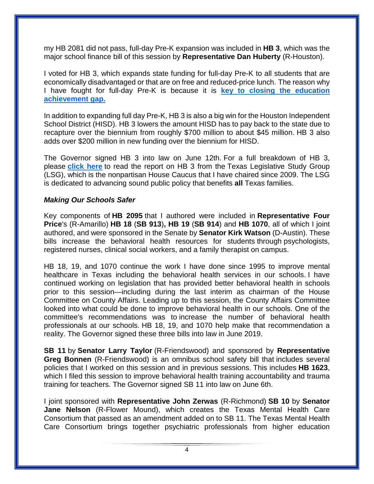my HB 2081 did not pass, full-day Pre-K expansion was included in **HB 3**, which was the major school finance bill of this session by **Representative Dan Huberty** (R-Houston).

I voted for HB 3, which expands state funding for full-day Pre-K to all students that are economically disadvantaged or that are on free and reduced-price lunch. The reason why I have fought for full-day Pre-K is because it is **[key to closing the education](https://garnetcoleman.us8.list-manage.com/track/click?u=c207d67110ebe28590818cbb6&id=f20c967908&e=69fbbb4623)  [achievement gap.](https://garnetcoleman.us8.list-manage.com/track/click?u=c207d67110ebe28590818cbb6&id=f20c967908&e=69fbbb4623)**

In addition to expanding full day Pre-K, HB 3 is also a big win for the Houston Independent School District (HISD). HB 3 lowers the amount HISD has to pay back to the state due to recapture over the biennium from roughly \$700 million to about \$45 million. HB 3 also adds over \$200 million in new funding over the biennium for HISD.

The Governor signed HB 3 into law on June 12th. For a full breakdown of HB 3, please **[click here](https://garnetcoleman.us8.list-manage.com/track/click?u=c207d67110ebe28590818cbb6&id=b81d5aba61&e=69fbbb4623)** to read the report on HB 3 from the Texas Legislative Study Group (LSG), which is the nonpartisan House Caucus that I have chaired since 2009. The LSG is dedicated to advancing sound public policy that benefits **all** Texas families.

## *Making Our Schools Safer*

Key components of **HB 2095** that I authored were included in **Representative Four Price**'s (R-Amarillo) **HB 18** (**SB 913**)**, HB 19** (**SB 914**) and **HB 1070**, all of which I joint authored, and were sponsored in the Senate by **Senator Kirk Watson** (D-Austin). These bills increase the behavioral health resources for students through psychologists, registered nurses, clinical social workers, and a family therapist on campus.

HB 18, 19, and 1070 continue the work I have done since 1995 to improve mental healthcare in Texas including the behavioral health services in our schools. I have continued working on legislation that has provided better behavioral health in schools prior to this session—including during the last interim as chairman of the House Committee on County Affairs. Leading up to this session, the County Affairs Committee looked into what could be done to improve behavioral health in our schools. One of the committee's recommendations was to increase the number of behavioral health professionals at our schools. HB 18, 19, and 1070 help make that recommendation a reality. The Governor signed these three bills into law in June 2019.

**SB 11** by **Senator Larry Taylor** (R-Friendswood) and sponsored by **Representative Greg Bonnen** (R-Friendswood) is an omnibus school safety bill that includes several policies that I worked on this session and in previous sessions. This includes **HB 1623**, which I filed this session to improve behavioral health training accountability and trauma training for teachers. The Governor signed SB 11 into law on June 6th.

I joint sponsored with **Representative John Zerwas** (R-Richmond) **SB 10** by **Senator Jane Nelson** (R-Flower Mound), which creates the Texas Mental Health Care Consortium that passed as an amendment added on to SB 11. The Texas Mental Health Care Consortium brings together psychiatric professionals from higher education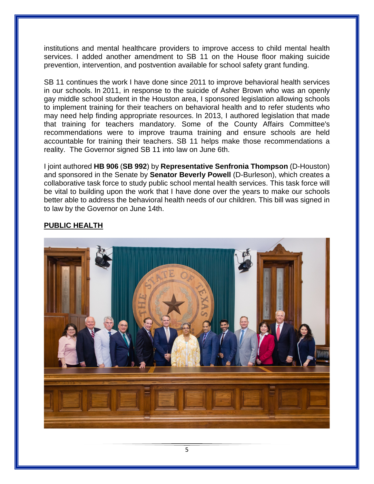institutions and mental healthcare providers to improve access to child mental health services. I added another amendment to SB 11 on the House floor making suicide prevention, intervention, and postvention available for school safety grant funding.

SB 11 continues the work I have done since 2011 to improve behavioral health services in our schools. In 2011, in response to the suicide of Asher Brown who was an openly gay middle school student in the Houston area, I sponsored legislation allowing schools to implement training for their teachers on behavioral health and to refer students who may need help finding appropriate resources. In 2013, I authored legislation that made that training for teachers mandatory. Some of the County Affairs Committee's recommendations were to improve trauma training and ensure schools are held accountable for training their teachers. SB 11 helps make those recommendations a reality.The Governor signed SB 11 into law on June 6th.

I joint authored **HB 906** (**SB 992**) by **Representative Senfronia Thompson** (D-Houston) and sponsored in the Senate by **Senator Beverly Powell** (D-Burleson), which creates a collaborative task force to study public school mental health services. This task force will be vital to building upon the work that I have done over the years to make our schools better able to address the behavioral health needs of our children. This bill was signed in to law by the Governor on June 14th.

# **PUBLIC HEALTH**

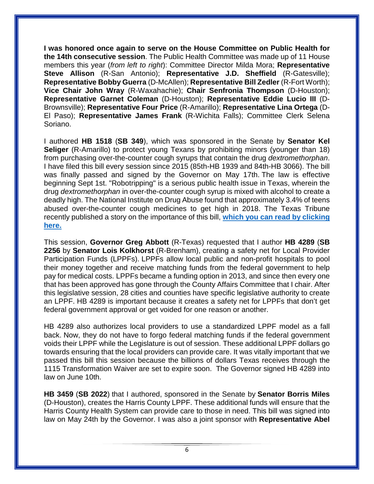**I was honored once again to serve on the House Committee on Public Health for the 14th consecutive session**. The Public Health Committee was made up of 11 House members this year (*from left to right*): Committee Director Milda Mora; **Representative Steve Allison** (R-San Antonio); **Representative J.D. Sheffield** (R-Gatesville); **Representative Bobby Guerra** (D-McAllen); **Representative Bill Zedler** (R-Fort Worth); **Vice Chair John Wray** (R-Waxahachie); **Chair Senfronia Thompson** (D-Houston); **Representative Garnet Coleman** (D-Houston); **Representative Eddie Lucio III** (D-Brownsville); **Representative Four Price** (R-Amarillo); **Representative Lina Ortega** (D-El Paso); **Representative James Frank** (R-Wichita Falls); Committee Clerk Selena Soriano.

I authored **HB 1518** (**SB 349**), which was sponsored in the Senate by **Senator Kel Seliger** (R-Amarillo) to protect young Texans by prohibiting minors (younger than 18) from purchasing over-the-counter cough syrups that contain the drug *dextromethorphan*. I have filed this bill every session since 2015 (85th-HB 1939 and 84th-HB 3066). The bill was finally passed and signed by the Governor on May 17th. The law is effective beginning Sept 1st. "Robotripping" is a serious public health issue in Texas, wherein the drug *dextromethorphan* in over-the-counter cough syrup is mixed with alcohol to create a deadly high. The National Institute on Drug Abuse found that approximately 3.4% of teens abused over-the-counter cough medicines to get high in 2018. The Texas Tribune recently published a story on the importance of this bill, **[which you can read by clicking](https://www.texastribune.org/2019/05/29/texas-passes-law-cough-medicine-dextromethorphan/)  [here.](https://www.texastribune.org/2019/05/29/texas-passes-law-cough-medicine-dextromethorphan/)**

This session, **Governor Greg Abbott** (R-Texas) requested that I author **HB 4289** (**SB 2256** by **Senator Lois Kolkhorst** (R-Brenham), creating a safety net for Local Provider Participation Funds (LPPFs). LPPFs allow local public and non-profit hospitals to pool their money together and receive matching funds from the federal government to help pay for medical costs. LPPFs became a funding option in 2013, and since then every one that has been approved has gone through the County Affairs Committee that I chair. After this legislative session, 28 cities and counties have specific legislative authority to create an LPPF. HB 4289 is important because it creates a safety net for LPPFs that don't get federal government approval or get voided for one reason or another.

HB 4289 also authorizes local providers to use a standardized LPPF model as a fall back. Now, they do not have to forgo federal matching funds if the federal government voids their LPPF while the Legislature is out of session. These additional LPPF dollars go towards ensuring that the local providers can provide care. It was vitally important that we passed this bill this session because the billions of dollars Texas receives through the 1115 Transformation Waiver are set to expire soon. The Governor signed HB 4289 into law on June 10th.

**HB 3459** (**SB 2022**) that I authored, sponsored in the Senate by **Senator Borris Miles** (D-Houston), creates the Harris County LPPF. These additional funds will ensure that the Harris County Health System can provide care to those in need. This bill was signed into law on May 24th by the Governor. I was also a joint sponsor with **Representative Abel**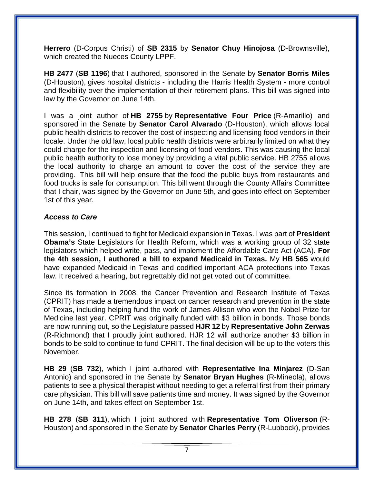**Herrero** (D-Corpus Christi) of **SB 2315** by **Senator Chuy Hinojosa** (D-Brownsville), which created the Nueces County LPPF.

**HB 2477** (**SB 1196**) that I authored, sponsored in the Senate by **Senator Borris Miles**  (D-Houston), gives hospital districts - including the Harris Health System - more control and flexibility over the implementation of their retirement plans. This bill was signed into law by the Governor on June 14th.

I was a joint author of **HB 2755** by **Representative Four Price** (R-Amarillo) and sponsored in the Senate by **Senator Carol Alvarado** (D-Houston), which allows local public health districts to recover the cost of inspecting and licensing food vendors in their locale. Under the old law, local public health districts were arbitrarily limited on what they could charge for the inspection and licensing of food vendors. This was causing the local public health authority to lose money by providing a vital public service. HB 2755 allows the local authority to charge an amount to cover the cost of the service they are providing. This bill will help ensure that the food the public buys from restaurants and food trucks is safe for consumption. This bill went through the County Affairs Committee that I chair, was signed by the Governor on June 5th, and goes into effect on September 1st of this year.

## *Access to Care*

This session, I continued to fight for Medicaid expansion in Texas. I was part of **President Obama's** State Legislators for Health Reform, which was a working group of 32 state legislators which helped write, pass, and implement the Affordable Care Act (ACA). **For the 4th session, I authored a bill to expand Medicaid in Texas.** My **HB 565** would have expanded Medicaid in Texas and codified important ACA protections into Texas law. It received a hearing, but regrettably did not get voted out of committee.

Since its formation in 2008, the Cancer Prevention and Research Institute of Texas (CPRIT) has made a tremendous impact on cancer research and prevention in the state of Texas, including helping fund the work of James Allison who won the Nobel Prize for Medicine last year. CPRIT was originally funded with \$3 billion in bonds. Those bonds are now running out, so the Legislature passed **HJR 12** by **Representative John Zerwas** (R-Richmond) that I proudly joint authored. HJR 12 will authorize another \$3 billion in bonds to be sold to continue to fund CPRIT. The final decision will be up to the voters this November.

**HB 29** (**SB 732**), which I joint authored with **Representative Ina Minjarez** (D-San Antonio) and sponsored in the Senate by **Senator Bryan Hughes** (R-Mineola), allows patients to see a physical therapist without needing to get a referral first from their primary care physician. This bill will save patients time and money. It was signed by the Governor on June 14th, and takes effect on September 1st.

**HB 278** (**SB 311**), which I joint authored with **Representative Tom Oliverson** (R-Houston) and sponsored in the Senate by **Senator Charles Perry** (R-Lubbock), provides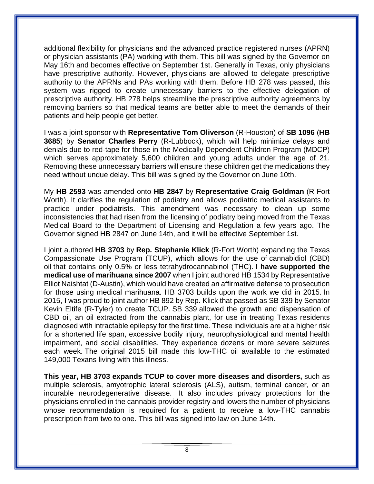additional flexibility for physicians and the advanced practice registered nurses (APRN) or physician assistants (PA) working with them. This bill was signed by the Governor on May 16th and becomes effective on September 1st. Generally in Texas, only physicians have prescriptive authority. However, physicians are allowed to delegate prescriptive authority to the APRNs and PAs working with them. Before HB 278 was passed, this system was rigged to create unnecessary barriers to the effective delegation of prescriptive authority. HB 278 helps streamline the prescriptive authority agreements by removing barriers so that medical teams are better able to meet the demands of their patients and help people get better.

I was a joint sponsor with **Representative Tom Oliverson** (R-Houston) of **SB 1096** (**HB 3685**) by **Senator Charles Perry** (R-Lubbock), which will help minimize delays and denials due to red-tape for those in the Medically Dependent Children Program (MDCP) which serves approximately 5,600 children and young adults under the age of 21. Removing these unnecessary barriers will ensure these children get the medications they need without undue delay. This bill was signed by the Governor on June 10th.

My **HB 2593** was amended onto **HB 2847** by **Representative Craig Goldman** (R-Fort Worth). It clarifies the regulation of podiatry and allows podiatric medical assistants to practice under podiatrists. This amendment was necessary to clean up some inconsistencies that had risen from the licensing of podiatry being moved from the Texas Medical Board to the Department of Licensing and Regulation a few years ago. The Governor signed HB 2847 on June 14th, and it will be effective September 1st.

I joint authored **HB 3703** by **Rep. Stephanie Klick** (R-Fort Worth) expanding the Texas Compassionate Use Program (TCUP), which allows for the use of cannabidiol (CBD) oil that contains only 0.5% or less tetrahydrocannabinol (THC). **I have supported the medical use of marihuana since 2007** when I joint authored HB 1534 by Representative Elliot Naishtat (D-Austin), which would have created an affirmative defense to prosecution for those using medical marihuana. HB 3703 builds upon the work we did in 2015. In 2015, I was proud to joint author HB 892 by Rep. Klick that passed as SB 339 by Senator Kevin Eltife (R-Tyler) to create TCUP. SB 339 allowed the growth and dispensation of CBD oil, an oil extracted from the cannabis plant, for use in treating Texas residents diagnosed with intractable epilepsy for the first time. These individuals are at a higher risk for a shortened life span, excessive bodily injury, neurophysiological and mental health impairment, and social disabilities. They experience dozens or more severe seizures each week. The original 2015 bill made this low-THC oil available to the estimated 149,000 Texans living with this illness.

**This year, HB 3703 expands TCUP to cover more diseases and disorders,** such as multiple sclerosis, amyotrophic lateral sclerosis (ALS), autism, terminal cancer, or an incurable neurodegenerative disease. It also includes privacy protections for the physicians enrolled in the cannabis provider registry and lowers the number of physicians whose recommendation is required for a patient to receive a low-THC cannabis prescription from two to one. This bill was signed into law on June 14th.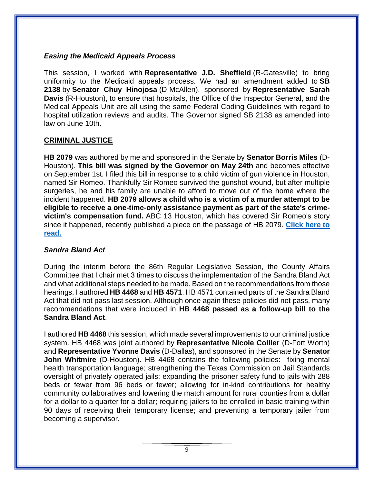## *Easing the Medicaid Appeals Process*

This session, I worked with **Representative J.D. Sheffield** (R-Gatesville) to bring uniformity to the Medicaid appeals process. We had an amendment added to **SB 2138** by **Senator Chuy Hinojosa** (D-McAllen), sponsored by **Representative Sarah Davis** (R-Houston), to ensure that hospitals, the Office of the Inspector General, and the Medical Appeals Unit are all using the same Federal Coding Guidelines with regard to hospital utilization reviews and audits. The Governor signed SB 2138 as amended into law on June 10th.

# **CRIMINAL JUSTICE**

**HB 2079** was authored by me and sponsored in the Senate by **Senator Borris Miles** (D-Houston). **This bill was signed by the Governor on May 24th** and becomes effective on September 1st. I filed this bill in response to a child victim of gun violence in Houston, named Sir Romeo. Thankfully Sir Romeo survived the gunshot wound, but after multiple surgeries, he and his family are unable to afford to move out of the home where the incident happened. **HB 2079 allows a child who is a victim of a murder attempt to be eligible to receive a one-time-only assistance payment as part of the state's crimevictim's compensation fund.** ABC 13 Houston, which has covered Sir Romeo's story since it happened, recently published a piece on the passage of HB 2079. **[Click here](https://abc13.com/society/legislation-attempts-to-change-the-law-after-4-year-old-shot/5309771/) to [read.](https://abc13.com/society/legislation-attempts-to-change-the-law-after-4-year-old-shot/5309771/)**

# *Sandra Bland Act*

During the interim before the 86th Regular Legislative Session, the County Affairs Committee that I chair met 3 times to discuss the implementation of the Sandra Bland Act and what additional steps needed to be made. Based on the recommendations from those hearings, I authored **HB 4468** and **HB 4571**. HB 4571 contained parts of the Sandra Bland Act that did not pass last session. Although once again these policies did not pass, many recommendations that were included in **HB 4468 passed as a follow-up bill to the Sandra Bland Act**.

I authored **HB 4468** this session, which made several improvements to our criminal justice system. HB 4468 was joint authored by **Representative Nicole Collier** (D-Fort Worth) and **Representative Yvonne Davis** (D-Dallas), and sponsored in the Senate by **Senator John Whitmire** (D-Houston). HB 4468 contains the following policies: fixing mental health transportation language; strengthening the Texas Commission on Jail Standards oversight of privately operated jails; expanding the prisoner safety fund to jails with 288 beds or fewer from 96 beds or fewer; allowing for in-kind contributions for healthy community collaboratives and lowering the match amount for rural counties from a dollar for a dollar to a quarter for a dollar; requiring jailers to be enrolled in basic training within 90 days of receiving their temporary license; and preventing a temporary jailer from becoming a supervisor.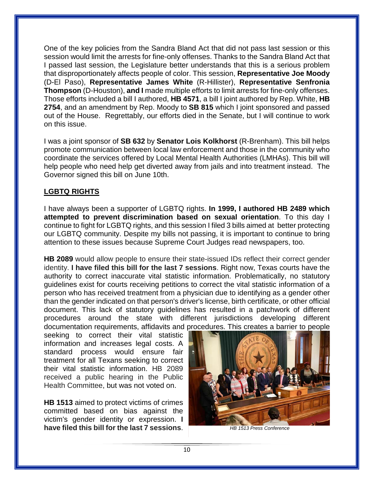One of the key policies from the Sandra Bland Act that did not pass last session or this session would limit the arrests for fine-only offenses. Thanks to the Sandra Bland Act that I passed last session, the Legislature better understands that this is a serious problem that disproportionately affects people of color. This session, **Representative Joe Moody** (D-El Paso), **Representative James White** (R-Hillister), **Representative Senfronia Thompson** (D-Houston), **and I** made multiple efforts to limit arrests for fine-only offenses. Those efforts included a bill I authored, **HB 4571**, a bill I joint authored by Rep. White, **HB 2754**, and an amendment by Rep. Moody to **SB 815** which I joint sponsored and passed out of the House. Regrettably, our efforts died in the Senate, but I will continue to work on this issue.

I was a joint sponsor of **SB 632** by **Senator Lois Kolkhorst** (R-Brenham). This bill helps promote communication between local law enforcement and those in the community who coordinate the services offered by Local Mental Health Authorities (LMHAs). This bill will help people who need help get diverted away from jails and into treatment instead. The Governor signed this bill on June 10th.

# **LGBTQ RIGHTS**

I have always been a supporter of LGBTQ rights. **In 1999, I authored HB 2489 which attempted to prevent discrimination based on sexual orientation**. To this day I continue to fight for LGBTQ rights, and this session I filed 3 bills aimed at better protecting our LGBTQ community. Despite my bills not passing, it is important to continue to bring attention to these issues because Supreme Court Judges read newspapers, too.

**HB 2089** would allow people to ensure their state-issued IDs reflect their correct gender identity. **I have filed this bill for the last 7 sessions**. Right now, Texas courts have the authority to correct inaccurate vital statistic information. Problematically, no statutory guidelines exist for courts receiving petitions to correct the vital statistic information of a person who has received treatment from a physician due to identifying as a gender other than the gender indicated on that person's driver's license, birth certificate, or other official document. This lack of statutory guidelines has resulted in a patchwork of different procedures around the state with different jurisdictions developing different documentation requirements, affidavits and procedures. This creates a barrier to people

seeking to correct their vital statistic information and increases legal costs. A standard process would ensure fair treatment for all Texans seeking to correct their vital statistic information. HB 2089 received a public hearing in the Public Health Committee, but was not voted on.

**HB 1513** aimed to protect victims of crimes committed based on bias against the victim's gender identity or expression. **I have filed this bill for the last 7 sessions**.

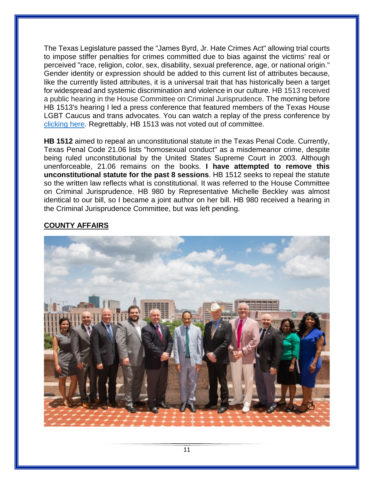The Texas Legislature passed the "James Byrd, Jr. Hate Crimes Act" allowing trial courts to impose stiffer penalties for crimes committed due to bias against the victims' real or perceived "race, religion, color, sex, disability, sexual preference, age, or national origin." Gender identity or expression should be added to this current list of attributes because, like the currently listed attributes, it is a universal trait that has historically been a target for widespread and systemic discrimination and violence in our culture. HB 1513 received a public hearing in the House Committee on Criminal Jurisprudence. The morning before HB 1513's hearing I led a press conference that featured members of the Texas House LGBT Caucus and trans advocates. You can watch a replay of the press conference by [clicking here.](https://www.facebook.com/txlgbtqcaucus/videos/vb.225717861712646/890296274641991/?type=2&theater) Regrettably, HB 1513 was not voted out of committee.

**HB 1512** aimed to repeal an unconstitutional statute in the Texas Penal Code. Currently, Texas Penal Code 21.06 lists "homosexual conduct" as a misdemeanor crime, despite being ruled unconstitutional by the United States Supreme Court in 2003. Although unenforceable, 21.06 remains on the books. **I have attempted to remove this unconstitutional statute for the past 8 sessions**. HB 1512 seeks to repeal the statute so the written law reflects what is constitutional. It was referred to the House Committee on Criminal Jurisprudence. HB 980 by Representative Michelle Beckley was almost identical to our bill, so I became a joint author on her bill. HB 980 received a hearing in the Criminal Jurisprudence Committee, but was left pending.

# **COUNTY AFFAIRS**